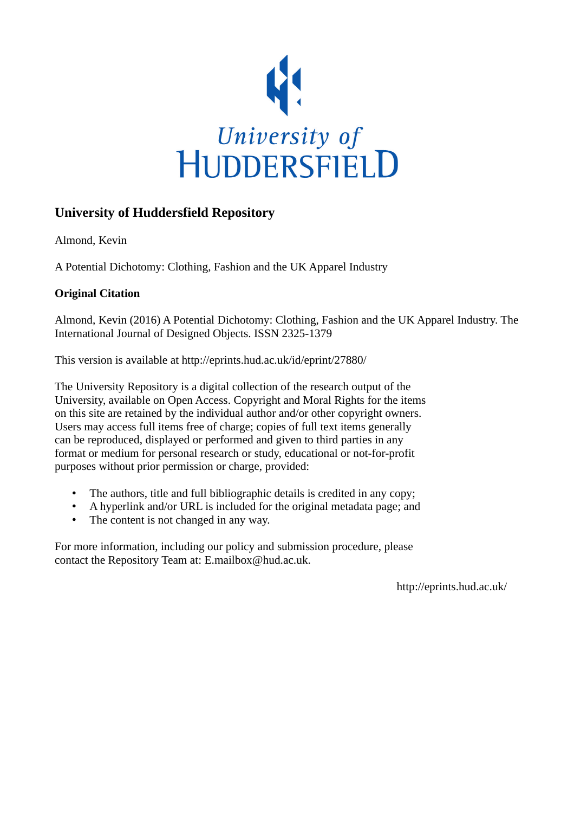

# **University of Huddersfield Repository**

Almond, Kevin

A Potential Dichotomy: Clothing, Fashion and the UK Apparel Industry

## **Original Citation**

Almond, Kevin (2016) A Potential Dichotomy: Clothing, Fashion and the UK Apparel Industry. The International Journal of Designed Objects. ISSN 2325-1379

This version is available at http://eprints.hud.ac.uk/id/eprint/27880/

The University Repository is a digital collection of the research output of the University, available on Open Access. Copyright and Moral Rights for the items on this site are retained by the individual author and/or other copyright owners. Users may access full items free of charge; copies of full text items generally can be reproduced, displayed or performed and given to third parties in any format or medium for personal research or study, educational or not-for-profit purposes without prior permission or charge, provided:

- The authors, title and full bibliographic details is credited in any copy;
- A hyperlink and/or URL is included for the original metadata page; and
- The content is not changed in any way.

For more information, including our policy and submission procedure, please contact the Repository Team at: E.mailbox@hud.ac.uk.

http://eprints.hud.ac.uk/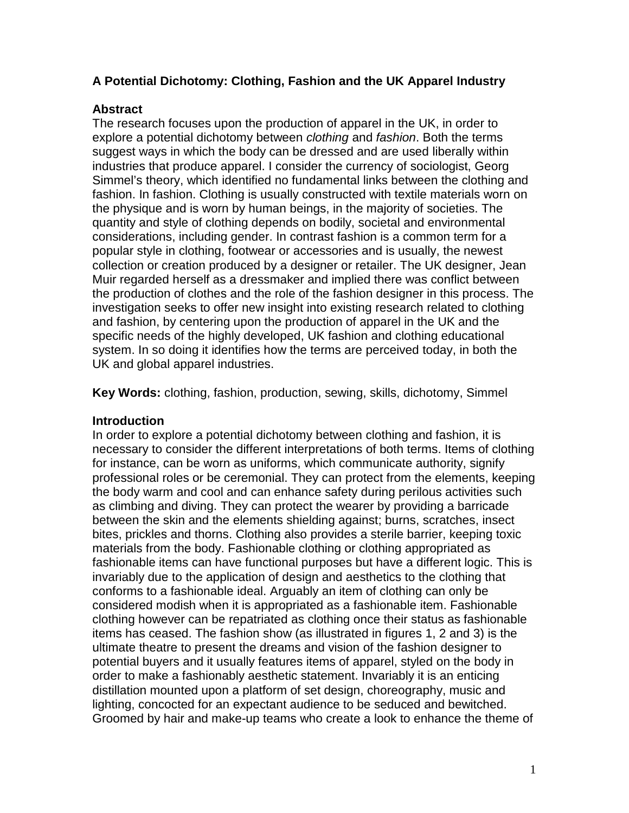## **A Potential Dichotomy: Clothing, Fashion and the UK Apparel Industry**

## **Abstract**

The research focuses upon the production of apparel in the UK, in order to explore a potential dichotomy between *clothing* and *fashion*. Both the terms suggest ways in which the body can be dressed and are used liberally within industries that produce apparel. I consider the currency of sociologist, Georg Simmel's theory, which identified no fundamental links between the clothing and fashion. In fashion. Clothing is usually constructed with textile materials worn on the physique and is worn by human beings, in the majority of societies. The quantity and style of clothing depends on bodily, societal and environmental considerations, including gender. In contrast fashion is a common term for a popular style in [clothing,](http://en.wikipedia.org/wiki/Clothing) [footwear](http://en.wikipedia.org/wiki/Footwear) or accessories and is usually, the newest collection or creation produced by a designer or retailer. The UK designer, Jean Muir regarded herself as a dressmaker and implied there was conflict between the production of clothes and the role of the fashion designer in this process. The investigation seeks to offer new insight into existing research related to clothing and fashion, by centering upon the production of apparel in the UK and the specific needs of the highly developed, UK fashion and clothing educational system. In so doing it identifies how the terms are perceived today, in both the UK and global apparel industries.

**Key Words:** clothing, fashion, production, sewing, skills, dichotomy, Simmel

## **Introduction**

In order to explore a potential dichotomy between clothing and fashion, it is necessary to consider the different interpretations of both terms. Items of clothing for instance, can be worn as uniforms, which communicate authority, signify professional roles or be ceremonial. They can protect from the elements, keeping the body warm and cool and can enhance safety during perilous activities such as climbing and diving. They can protect the wearer by providing a barricade between the skin and the elements shielding against; burns, scratches, insect bites, prickles and thorns. Clothing also provides a sterile barrier, keeping toxic materials from the body. Fashionable clothing or clothing appropriated as fashionable items can have functional purposes but have a different logic. This is invariably due to the application of design and aesthetics to the clothing that conforms to a fashionable ideal. Arguably an item of clothing can only be considered modish when it is appropriated as a fashionable item. Fashionable clothing however can be repatriated as clothing once their status as fashionable items has ceased. The fashion show (as illustrated in figures 1, 2 and 3) is the ultimate theatre to present the dreams and vision of the fashion designer to potential buyers and it usually features items of apparel, styled on the body in order to make a fashionably aesthetic statement. Invariably it is an enticing distillation mounted upon a platform of set design, choreography, music and lighting, concocted for an expectant audience to be seduced and bewitched. Groomed by hair and make-up teams who create a look to enhance the theme of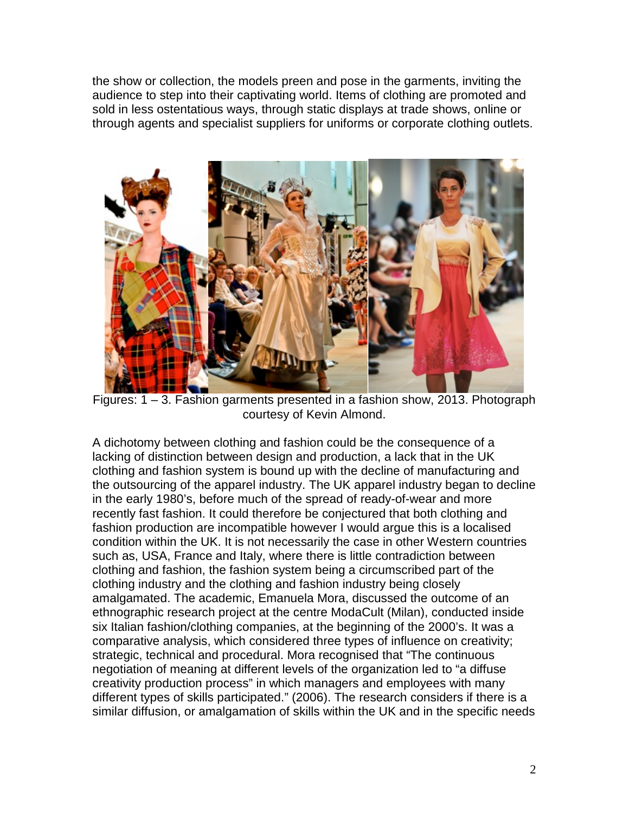the show or collection, the models preen and pose in the garments, inviting the audience to step into their captivating world. Items of clothing are promoted and sold in less ostentatious ways, through static displays at trade shows, online or through agents and specialist suppliers for uniforms or corporate clothing outlets.



Figures: 1 – 3. Fashion garments presented in a fashion show, 2013. Photograph courtesy of Kevin Almond.

A dichotomy between clothing and fashion could be the consequence of a lacking of distinction between design and production, a lack that in the UK clothing and fashion system is bound up with the decline of manufacturing and the outsourcing of the apparel industry. The UK apparel industry began to decline in the early 1980's, before much of the spread of ready-of-wear and more recently fast fashion. It could therefore be conjectured that both clothing and fashion production are incompatible however I would argue this is a localised condition within the UK. It is not necessarily the case in other Western countries such as, USA, France and Italy, where there is little contradiction between clothing and fashion, the fashion system being a circumscribed part of the clothing industry and the clothing and fashion industry being closely amalgamated. The academic, Emanuela Mora, discussed the outcome of an ethnographic research project at the centre ModaCult (Milan), conducted inside six Italian fashion/clothing companies, at the beginning of the 2000's. It was a comparative analysis, which considered three types of influence on creativity; strategic, technical and procedural. Mora recognised that "The continuous negotiation of meaning at different levels of the organization led to "a diffuse creativity production process" in which managers and employees with many different types of skills participated." (2006). The research considers if there is a similar diffusion, or amalgamation of skills within the UK and in the specific needs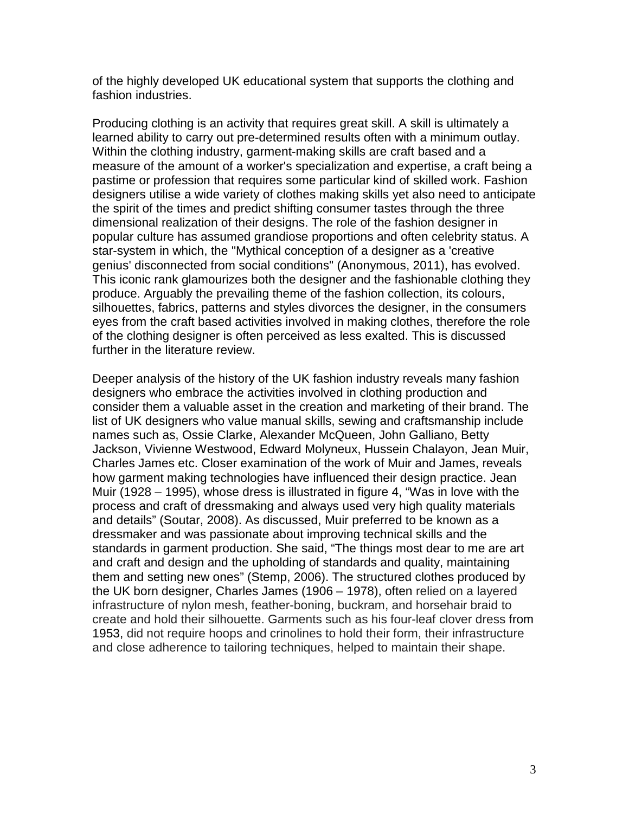of the highly developed UK educational system that supports the clothing and fashion industries.

Producing clothing is an activity that requires great skill. A skill is ultimately a learned ability to carry out pre-determined results often with a minimum outlay. Within the clothing industry, garment-making skills are craft based and a measure of the amount of a worker's specialization and expertise, a craft being a pastime or profession that requires some particular kind of skilled work. Fashion designers utilise a wide variety of clothes making skills yet also need to anticipate the spirit of the times and predict [shifting consumer tastes](http://en.wikipedia.org/wiki/Fashion_forecasting) through the three dimensional realization of their designs. The role of the fashion designer in popular culture has assumed grandiose proportions and often celebrity status. A star-system in which, the "Mythical conception of a designer as a 'creative genius' disconnected from social conditions" (Anonymous, 2011), has evolved. This iconic rank glamourizes both the designer and the fashionable clothing they produce. Arguably the prevailing theme of the fashion collection, its colours, silhouettes, fabrics, patterns and styles divorces the designer, in the consumers eyes from the craft based activities involved in making clothes, therefore the role of the clothing designer is often perceived as less exalted. This is discussed further in the literature review.

Deeper analysis of the history of the UK fashion industry reveals many fashion designers who embrace the activities involved in clothing production and consider them a valuable asset in the creation and marketing of their brand. The list of UK designers who value manual skills, sewing and craftsmanship include names such as, Ossie Clarke, Alexander McQueen, John Galliano, Betty Jackson, Vivienne Westwood, Edward Molyneux, Hussein Chalayon, Jean Muir, Charles James etc. Closer examination of the work of Muir and James, reveals how garment making technologies have influenced their design practice. Jean Muir (1928 – 1995), whose dress is illustrated in figure 4, "Was in love with the process and craft of dressmaking and always used very high quality materials and details" (Soutar, 2008). As discussed, Muir preferred to be known as a dressmaker and was passionate about improving technical skills and the standards in garment production. She said, "The things most dear to me are art and craft and design and the upholding of standards and quality, maintaining them and setting new ones" (Stemp, 2006). The structured clothes produced by the UK born designer, Charles James (1906 – 1978), often relied on a layered infrastructure of nylon mesh, feather-boning, buckram, and horsehair braid to create and hold their silhouette. Garments such as his four-leaf clover dress from 1953, did not require hoops and crinolines to hold their form, their infrastructure and close adherence to tailoring techniques, helped to maintain their shape.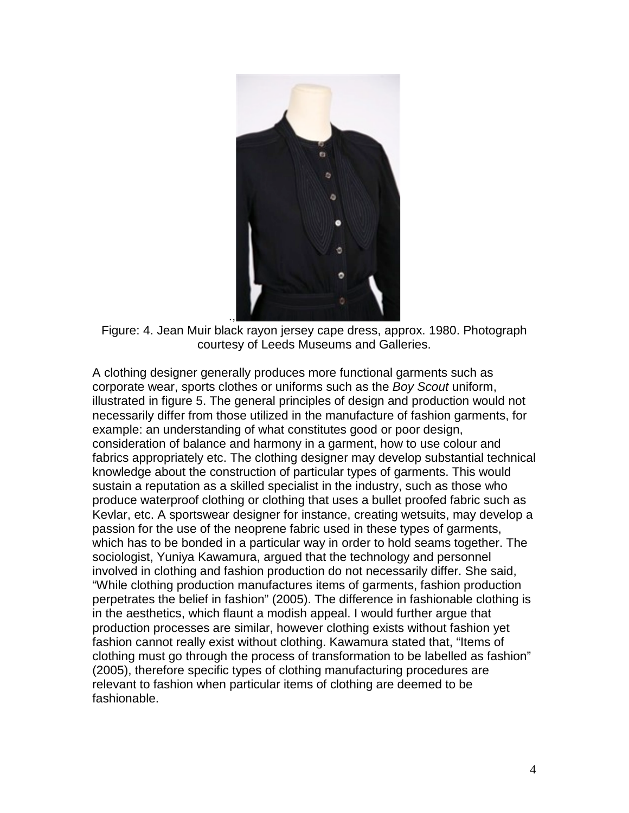

Figure: 4. Jean Muir black rayon jersey cape dress, approx. 1980. Photograph courtesy of Leeds Museums and Galleries.

A clothing designer generally produces more functional garments such as corporate wear, sports clothes or uniforms such as the *Boy Scout* uniform, illustrated in figure 5. The general principles of design and production would not necessarily differ from those utilized in the manufacture of fashion garments, for example: an understanding of what constitutes good or poor design, consideration of balance and harmony in a garment, how to use colour and fabrics appropriately etc. The clothing designer may develop substantial technical knowledge about the construction of particular types of garments. This would sustain a reputation as a skilled specialist in the industry, such as those who produce waterproof clothing or clothing that uses a bullet proofed fabric such as Kevlar, etc. A sportswear designer for instance, creating wetsuits, may develop a passion for the use of the neoprene fabric used in these types of garments, which has to be bonded in a particular way in order to hold seams together. The sociologist, Yuniya Kawamura, argued that the technology and personnel involved in clothing and fashion production do not necessarily differ. She said, "While clothing production manufactures items of garments, fashion production perpetrates the belief in fashion" (2005). The difference in fashionable clothing is in the aesthetics, which flaunt a modish appeal. I would further argue that production processes are similar, however clothing exists without fashion yet fashion cannot really exist without clothing. Kawamura stated that, "Items of clothing must go through the process of transformation to be labelled as fashion" (2005), therefore specific types of clothing manufacturing procedures are relevant to fashion when particular items of clothing are deemed to be fashionable.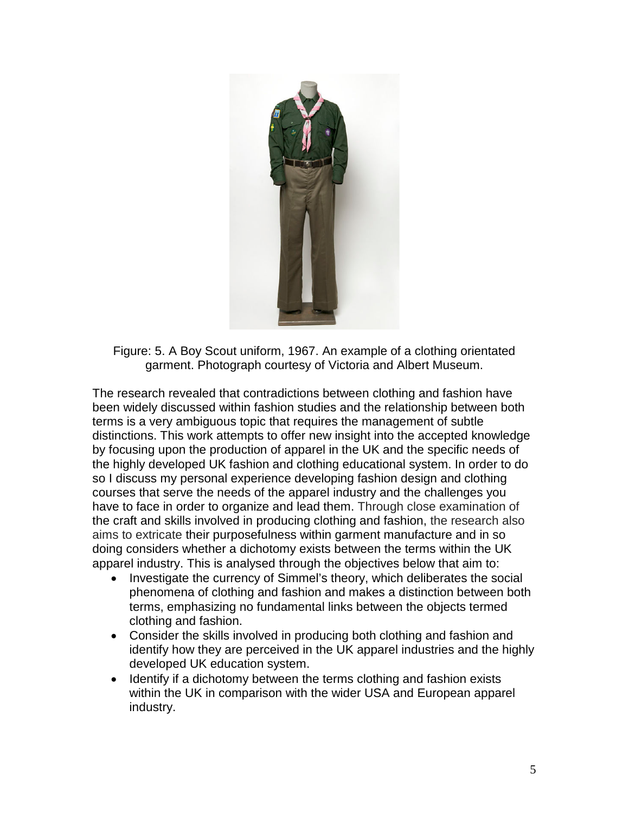

Figure: 5. A Boy Scout uniform, 1967. An example of a clothing orientated garment. Photograph courtesy of Victoria and Albert Museum.

The research revealed that contradictions between clothing and fashion have been widely discussed within fashion studies and the relationship between both terms is a very ambiguous topic that requires the management of subtle distinctions. This work attempts to offer new insight into the accepted knowledge by focusing upon the production of apparel in the UK and the specific needs of the highly developed UK fashion and clothing educational system. In order to do so I discuss my personal experience developing fashion design and clothing courses that serve the needs of the apparel industry and the challenges you have to face in order to organize and lead them. Through close examination of the craft and skills involved in producing clothing and fashion, the research also aims to extricate their purposefulness within garment manufacture and in so doing considers whether a dichotomy exists between the terms within the UK apparel industry. This is analysed through the objectives below that aim to:

- Investigate the currency of Simmel's theory, which deliberates the social phenomena of clothing and fashion and makes a distinction between both terms, emphasizing no fundamental links between the objects termed clothing and fashion.
- Consider the skills involved in producing both clothing and fashion and identify how they are perceived in the UK apparel industries and the highly developed UK education system.
- Identify if a dichotomy between the terms clothing and fashion exists within the UK in comparison with the wider USA and European apparel industry.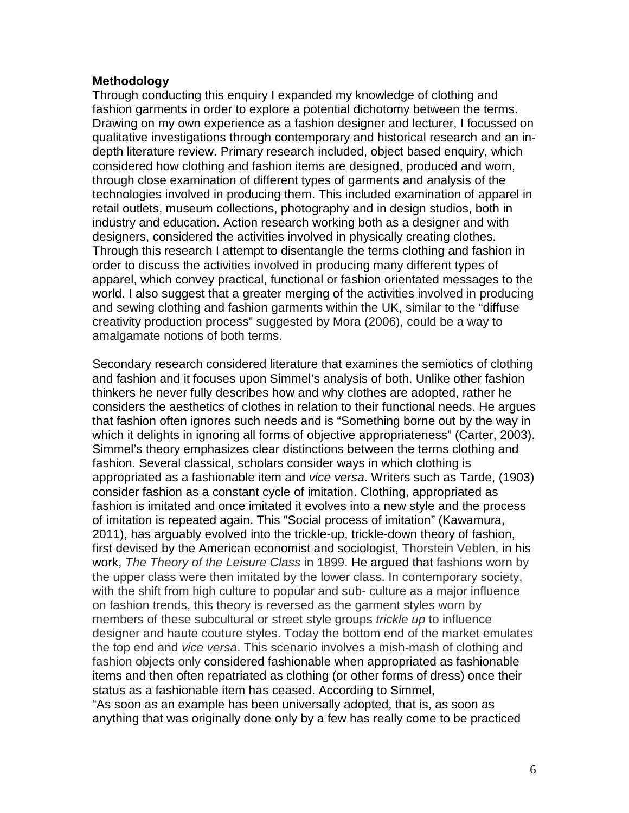#### **Methodology**

Through conducting this enquiry I expanded my knowledge of clothing and fashion garments in order to explore a potential dichotomy between the terms. Drawing on my own experience as a fashion designer and lecturer, I focussed on qualitative investigations through contemporary and historical research and an indepth literature review. Primary research included, object based enquiry, which considered how clothing and fashion items are designed, produced and worn, through close examination of different types of garments and analysis of the technologies involved in producing them. This included examination of apparel in retail outlets, museum collections, photography and in design studios, both in industry and education. Action research working both as a designer and with designers, considered the activities involved in physically creating clothes. Through this research I attempt to disentangle the terms clothing and fashion in order to discuss the activities involved in producing many different types of apparel, which convey practical, functional or fashion orientated messages to the world. I also suggest that a greater merging of the activities involved in producing and sewing clothing and fashion garments within the UK, similar to the "diffuse creativity production process" suggested by Mora (2006), could be a way to amalgamate notions of both terms.

Secondary research considered literature that examines the semiotics of clothing and fashion and it focuses upon Simmel's analysis of both. Unlike other fashion thinkers he never fully describes how and why clothes are adopted, rather he considers the aesthetics of clothes in relation to their functional needs. He argues that fashion often ignores such needs and is "Something borne out by the way in which it delights in ignoring all forms of objective appropriateness" (Carter, 2003). Simmel's theory emphasizes clear distinctions between the terms clothing and fashion. Several classical, scholars consider ways in which clothing is appropriated as a fashionable item and *vice versa*. Writers such as Tarde, (1903) consider fashion as a constant cycle of imitation. Clothing, appropriated as fashion is imitated and once imitated it evolves into a new style and the process of imitation is repeated again. This "Social process of imitation" (Kawamura, 2011), has arguably evolved into the trickle-up, trickle-down theory of fashion, first devised by the American economist and sociologist, Thorstein Veblen, in his work, *The Theory of the Leisure Class* in 1899. He argued that fashions worn by the upper class were then imitated by the lower class. In contemporary society, with the shift from high culture to popular and sub- culture as a major influence on fashion trends, this theory is reversed as the garment styles worn by members of these subcultural or street style groups *trickle up* to influence designer and haute couture styles. Today the bottom end of the market emulates the top end and *vice versa*. This scenario involves a mish-mash of clothing and fashion objects only considered fashionable when appropriated as fashionable items and then often repatriated as clothing (or other forms of dress) once their status as a fashionable item has ceased. According to Simmel, "As soon as an example has been universally adopted, that is, as soon as

anything that was originally done only by a few has really come to be practiced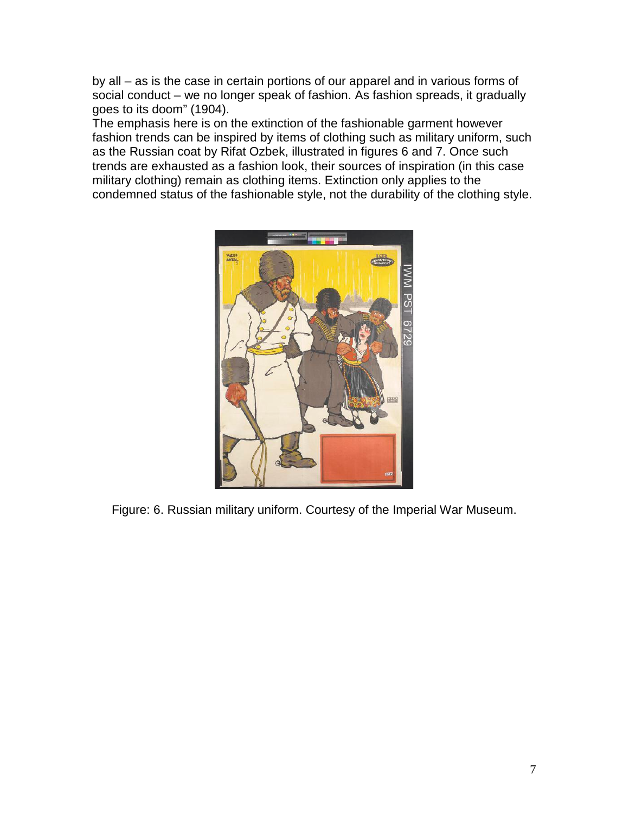by all – as is the case in certain portions of our apparel and in various forms of social conduct – we no longer speak of fashion. As fashion spreads, it gradually goes to its doom" (1904).

The emphasis here is on the extinction of the fashionable garment however fashion trends can be inspired by items of clothing such as military uniform, such as the Russian coat by Rifat Ozbek, illustrated in figures 6 and 7. Once such trends are exhausted as a fashion look, their sources of inspiration (in this case military clothing) remain as clothing items. Extinction only applies to the condemned status of the fashionable style, not the durability of the clothing style.



Figure: 6. Russian military uniform. Courtesy of the Imperial War Museum.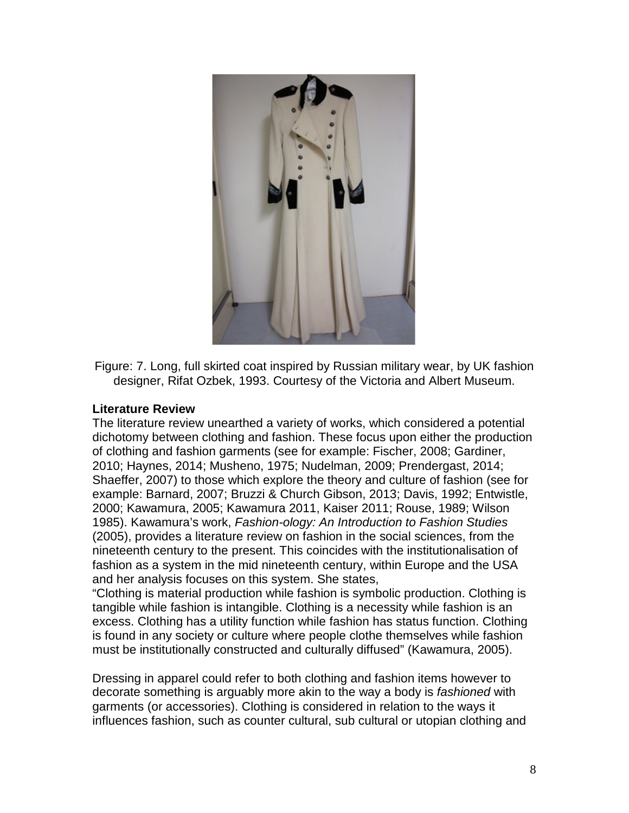

Figure: 7. Long, full skirted coat inspired by Russian military wear, by UK fashion designer, Rifat Ozbek, 1993. Courtesy of the Victoria and Albert Museum.

### **Literature Review**

The literature review unearthed a variety of works, which considered a potential dichotomy between clothing and fashion. These focus upon either the production of clothing and fashion garments (see for example: Fischer, 2008; Gardiner, 2010; Haynes, 2014; Musheno, 1975; Nudelman, 2009; Prendergast, 2014; Shaeffer, 2007) to those which explore the theory and culture of fashion (see for example: Barnard, 2007; Bruzzi & Church Gibson, 2013; Davis, 1992; Entwistle, 2000; Kawamura, 2005; Kawamura 2011, Kaiser 2011; Rouse, 1989; Wilson 1985). Kawamura's work, *Fashion-ology: An Introduction to Fashion Studies* (2005), provides a literature review on fashion in the social sciences, from the nineteenth century to the present. This coincides with the institutionalisation of fashion as a system in the mid nineteenth century, within Europe and the USA and her analysis focuses on this system. She states,

"Clothing is material production while fashion is symbolic production. Clothing is tangible while fashion is intangible. Clothing is a necessity while fashion is an excess. Clothing has a utility function while fashion has status function. Clothing is found in any society or culture where people clothe themselves while fashion must be institutionally constructed and culturally diffused" (Kawamura, 2005).

Dressing in apparel could refer to both clothing and fashion items however to decorate something is arguably more akin to the way a body is *fashioned* with garments (or accessories). Clothing is considered in relation to the ways it influences fashion, such as counter cultural, sub cultural or utopian clothing and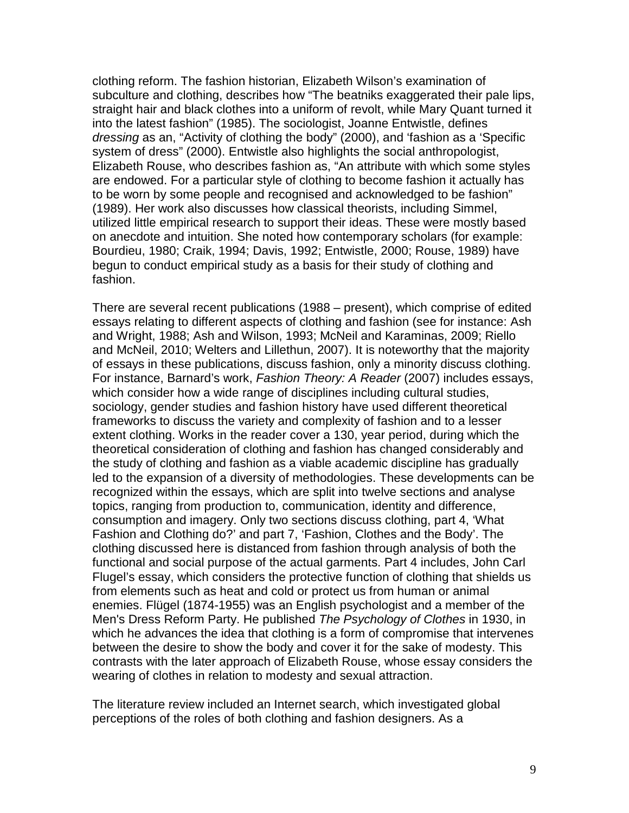clothing reform. The fashion historian, Elizabeth Wilson's examination of subculture and clothing, describes how "The beatniks exaggerated their pale lips, straight hair and black clothes into a uniform of revolt, while Mary Quant turned it into the latest fashion" (1985). The sociologist, Joanne Entwistle, defines *dressing* as an, "Activity of clothing the body" (2000), and 'fashion as a 'Specific system of dress" (2000). Entwistle also highlights the social anthropologist, Elizabeth Rouse, who describes fashion as, "An attribute with which some styles are endowed. For a particular style of clothing to become fashion it actually has to be worn by some people and recognised and acknowledged to be fashion" (1989). Her work also discusses how classical theorists, including Simmel, utilized little empirical research to support their ideas. These were mostly based on anecdote and intuition. She noted how contemporary scholars (for example: Bourdieu, 1980; Craik, 1994; Davis, 1992; Entwistle, 2000; Rouse, 1989) have begun to conduct empirical study as a basis for their study of clothing and fashion.

There are several recent publications (1988 – present), which comprise of edited essays relating to different aspects of clothing and fashion (see for instance: Ash and Wright, 1988; Ash and Wilson, 1993; McNeil and Karaminas, 2009; Riello and McNeil, 2010; Welters and Lillethun, 2007). It is noteworthy that the majority of essays in these publications, discuss fashion, only a minority discuss clothing. For instance, Barnard's work, *Fashion Theory: A Reader* (2007) includes essays, which consider how a wide range of disciplines including cultural studies, sociology, gender studies and fashion history have used different theoretical frameworks to discuss the variety and complexity of fashion and to a lesser extent clothing. Works in the reader cover a 130, year period, during which the theoretical consideration of clothing and fashion has changed considerably and the study of clothing and fashion as a viable academic discipline has gradually led to the expansion of a diversity of methodologies. These developments can be recognized within the essays, which are split into twelve sections and analyse topics, ranging from production to, communication, identity and difference, consumption and imagery. Only two sections discuss clothing, part 4, 'What Fashion and Clothing do?' and part 7, 'Fashion, Clothes and the Body'. The clothing discussed here is distanced from fashion through analysis of both the functional and social purpose of the actual garments. Part 4 includes, John Carl Flugel's essay, which considers the protective function of clothing that shields us from elements such as heat and cold or protect us from human or animal enemies. Flügel (1874-1955) was an English psychologist and a member of the Men's Dress Reform Party. He published *The Psychology of Clothes* in 1930, in which he advances the idea that clothing is a form of compromise that intervenes between the desire to show the body and cover it for the sake of modesty. This contrasts with the later approach of Elizabeth Rouse, whose essay considers the wearing of clothes in relation to modesty and sexual attraction.

The literature review included an Internet search, which investigated global perceptions of the roles of both clothing and fashion designers. As a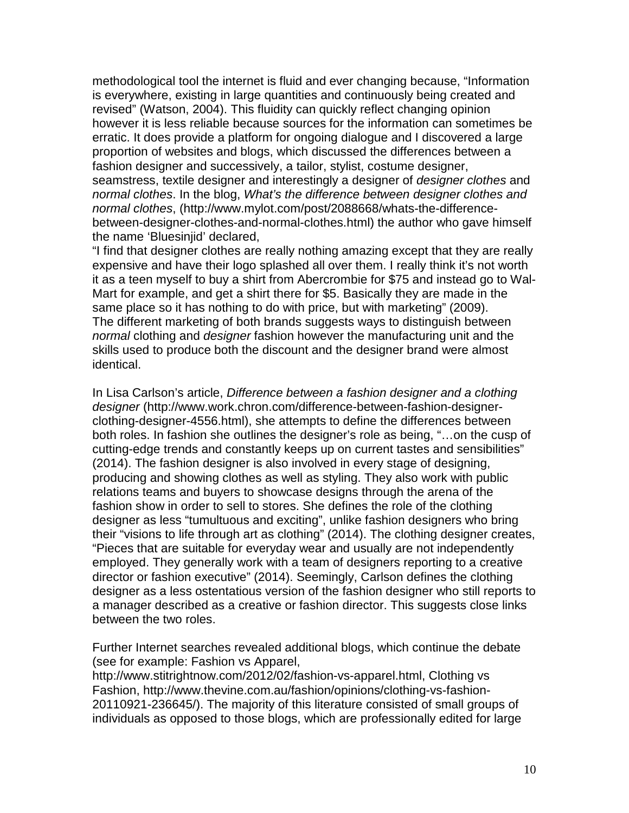methodological tool the internet is fluid and ever changing because, "Information is everywhere, existing in large quantities and continuously being created and revised" (Watson, 2004). This fluidity can quickly reflect changing opinion however it is less reliable because sources for the information can sometimes be erratic. It does provide a platform for ongoing dialogue and I discovered a large proportion of websites and blogs, which discussed the differences between a fashion designer and successively, a tailor, stylist, costume designer, seamstress, textile designer and interestingly a designer of *designer clothes* and *normal clothes*. In the blog, *What's the difference between designer clothes and normal clothes*, (http://www.mylot.com/post/2088668/whats-the-differencebetween-designer-clothes-and-normal-clothes.html) the author who gave himself the name 'Bluesinjid' declared,

"I find that designer clothes are really nothing amazing except that they are really expensive and have their logo splashed all over them. I really think it's not worth it as a teen myself to buy a shirt from Abercrombie for \$75 and instead go to Wal-Mart for example, and get a shirt there for \$5. Basically they are made in the same place so it has nothing to do with price, but with marketing" (2009). The different marketing of both brands suggests ways to distinguish between *normal* clothing and *designer* fashion however the manufacturing unit and the skills used to produce both the discount and the designer brand were almost identical.

In Lisa Carlson's article, *Difference between a fashion designer and a clothing designer* [\(http://www.work.chron.com/difference-between-fashion-designer](http://www.work.chron.com/difference-between-fashion-designer-clothing-designer-4556.html)[clothing-designer-4556.html\)](http://www.work.chron.com/difference-between-fashion-designer-clothing-designer-4556.html), she attempts to define the differences between both roles. In fashion she outlines the designer's role as being, "…on the cusp of cutting-edge trends and constantly keeps up on current tastes and sensibilities" (2014). The fashion designer is also involved in every stage of designing, producing and showing clothes as well as styling. They also work with public relations teams and buyers to showcase designs through the arena of the fashion show in order to sell to stores. She defines the role of the clothing designer as less "tumultuous and exciting", unlike fashion designers who bring their "visions to life through art as clothing" (2014). The clothing designer creates, "Pieces that are suitable for everyday wear and usually are not independently employed. They generally work with a team of designers reporting to a creative director or fashion executive" (2014). Seemingly, Carlson defines the clothing designer as a less ostentatious version of the fashion designer who still reports to a manager described as a creative or fashion director. This suggests close links between the two roles.

Further Internet searches revealed additional blogs, which continue the debate (see for example: Fashion vs Apparel,

http://www.stitrightnow.com/2012/02/fashion-vs-apparel.html, Clothing vs Fashion, [http://www.thevine.com.au/fashion/opinions/clothing-vs-fashion-](http://www.thevine.com.au/fashion/opinions/clothing-vs-fashion-20110921-236645/)[20110921-236645/\)](http://www.thevine.com.au/fashion/opinions/clothing-vs-fashion-20110921-236645/). The majority of this literature consisted of small groups of individuals as opposed to those blogs, which are professionally edited for large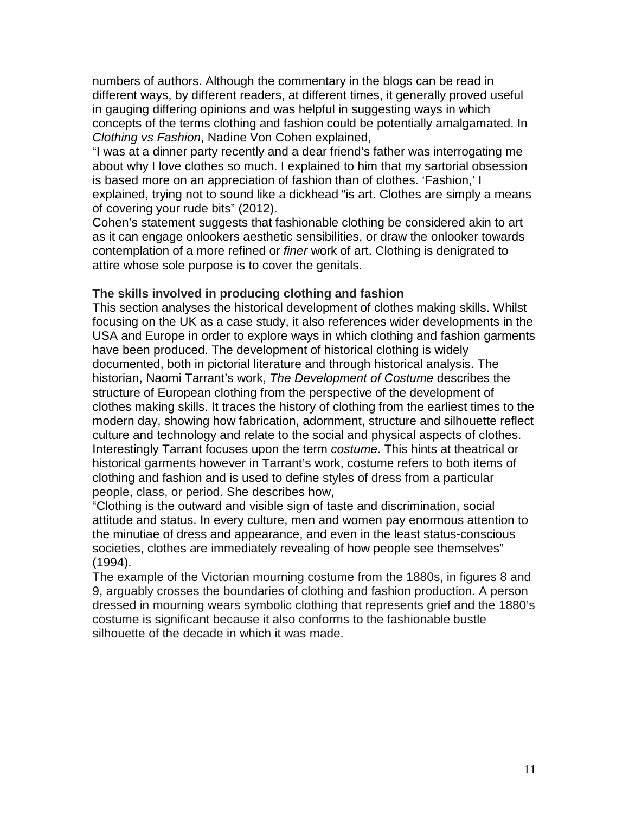numbers of authors. Although the commentary in the blogs can be read in different ways, by different readers, at different times, it generally proved useful in gauging differing opinions and was helpful in suggesting ways in which concepts of the terms clothing and fashion could be potentially amalgamated. In *Clothing vs Fashion*, Nadine Von Cohen explained,

"I was at a dinner party recently and a dear friend's father was interrogating me about why I love clothes so much. I explained to him that my sartorial obsession is based more on an appreciation of fashion than of clothes. 'Fashion,' I explained, trying not to sound like a dickhead "is art. Clothes are simply a means of covering your rude bits" (2012).

Cohen's statement suggests that fashionable clothing be considered akin to art as it can engage onlookers aesthetic sensibilities, or draw the onlooker towards contemplation of a more refined or *finer* work of art. Clothing is denigrated to attire whose sole purpose is to cover the genitals.

## **The skills involved in producing clothing and fashion**

This section analyses the historical development of clothes making skills. Whilst focusing on the UK as a case study, it also references wider developments in the USA and Europe in order to explore ways in which clothing and fashion garments have been produced. The development of historical clothing is widely documented, both in pictorial literature and through historical analysis. The historian, Naomi Tarrant's work, *The Development of Costume* describes the structure of European clothing from the perspective of the development of clothes making skills. It traces the history of clothing from the earliest times to the modern day, showing how fabrication, adornment, structure and silhouette reflect culture and technology and relate to the social and physical aspects of clothes. Interestingly Tarrant focuses upon the term *costume*. This hints at theatrical or historical garments however in Tarrant's work, costume refers to both items of clothing and fashion and is used to define styles of dress from a particular people, class, or period. She describes how,

"Clothing is the outward and visible sign of taste and discrimination, social attitude and status. In every culture, men and women pay enormous attention to the minutiae of dress and appearance, and even in the least status-conscious societies, clothes are immediately revealing of how people see themselves" (1994).

The example of the Victorian mourning costume from the 1880s, in figures 8 and 9, arguably crosses the boundaries of clothing and fashion production. A person dressed in mourning wears symbolic clothing that represents grief and the 1880's costume is significant because it also conforms to the fashionable bustle silhouette of the decade in which it was made.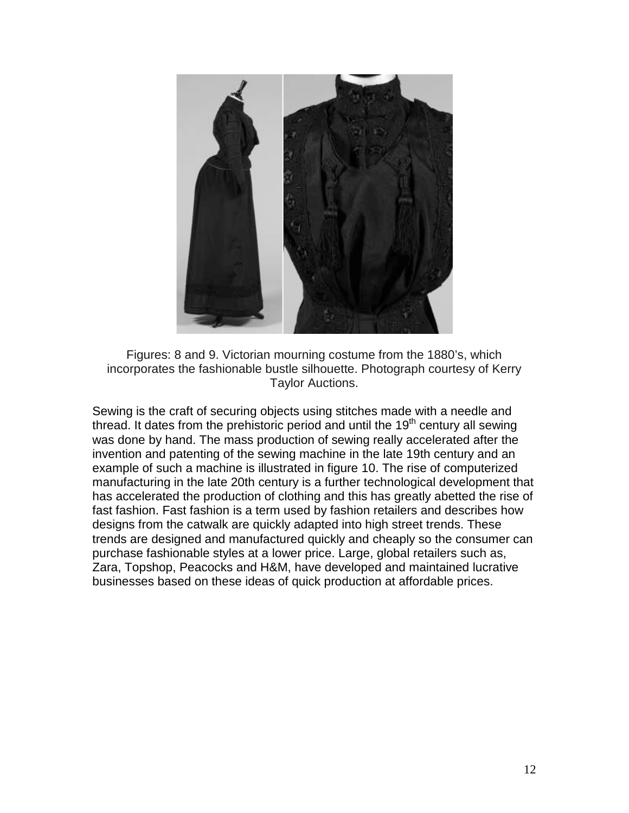

Figures: 8 and 9. Victorian mourning costume from the 1880's, which incorporates the fashionable bustle silhouette. Photograph courtesy of Kerry Taylor Auctions.

Sewing is the craft of securing objects using [stitches](http://en.wikipedia.org/wiki/Stitch_(textile_arts)) made with a [needle](http://en.wikipedia.org/wiki/Sewing_needle) and [thread.](http://en.wikipedia.org/wiki/Yarn) It dates from the prehistoric period and until the 19<sup>th</sup> century all sewing was done by hand. The mass production of sewing really accelerated after the invention and patenting of the [sewing machine](http://en.wikipedia.org/wiki/Sewing_machine) in the late 19th century and an example of such a machine is illustrated in figure 10. The rise of computerized manufacturing in the late 20th century is a further technological development that has accelerated the production of clothing and this has greatly abetted the rise of fast fashion. Fast fashion is a term used by fashion retailers and describes how designs from the catwalk are quickly adapted into high street trends. These trends are designed and manufactured quickly and cheaply so the consumer can purchase fashionable styles at a lower price. Large, global retailers such as, Zara, Topshop, Peacocks and H&M, have developed and maintained lucrative businesses based on these ideas of quick production at affordable prices.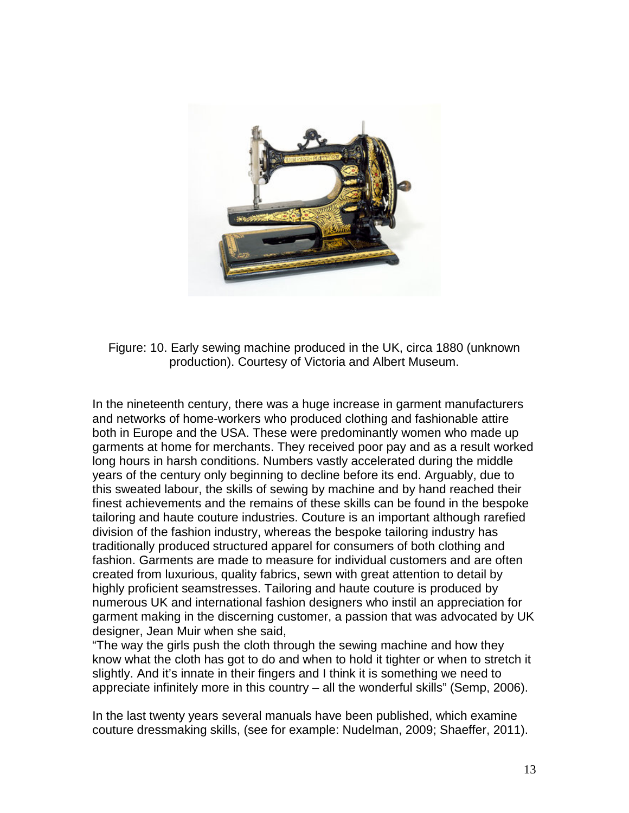

Figure: 10. Early sewing machine produced in the UK, circa 1880 (unknown production). Courtesy of Victoria and Albert Museum.

In the nineteenth century, there was a huge increase in garment manufacturers and networks of home-workers who produced clothing and fashionable attire both in Europe and the USA. These were predominantly women who made up garments at home for merchants. They received poor pay and as a result worked long hours in harsh conditions. Numbers vastly accelerated during the middle years of the century only beginning to decline before its end. Arguably, due to this sweated labour, the skills of sewing by machine and by hand reached their finest achievements and the remains of these skills can be found in the bespoke tailoring and haute couture industries. Couture is an important although rarefied division of the fashion industry, whereas the bespoke tailoring industry has traditionally produced structured apparel for consumers of both clothing and fashion. Garments are made to measure for individual customers and are often created from luxurious, quality fabrics, sewn with great attention to detail by highly proficient seamstresses. Tailoring and haute couture is produced by numerous UK and international fashion designers who instil an appreciation for garment making in the discerning customer, a passion that was advocated by UK designer, Jean Muir when she said,

"The way the girls push the cloth through the sewing machine and how they know what the cloth has got to do and when to hold it tighter or when to stretch it slightly. And it's innate in their fingers and I think it is something we need to appreciate infinitely more in this country – all the wonderful skills" (Semp, 2006).

In the last twenty years several manuals have been published, which examine couture dressmaking skills, (see for example: Nudelman, 2009; Shaeffer, 2011).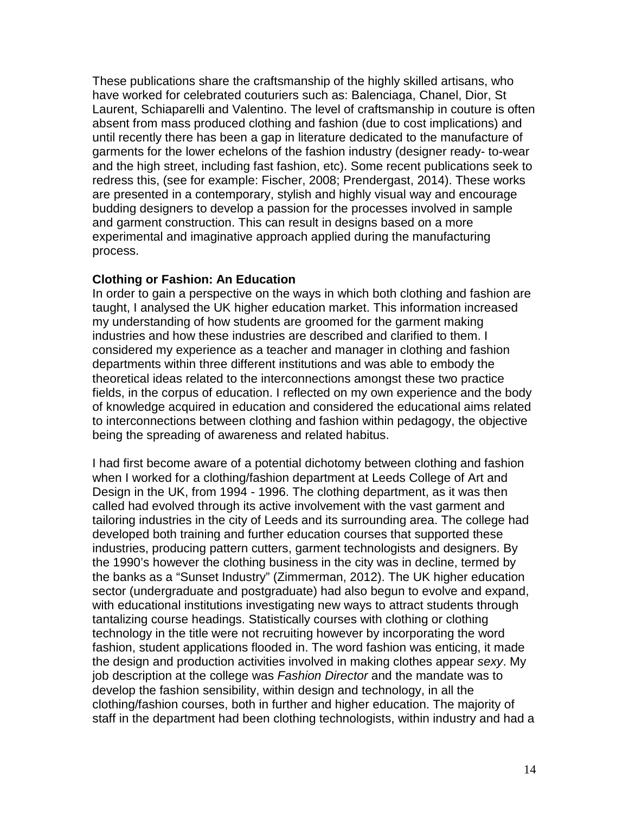These publications share the craftsmanship of the highly skilled artisans, who have worked for celebrated couturiers such as: Balenciaga, Chanel, Dior, St Laurent, Schiaparelli and Valentino. The level of craftsmanship in couture is often absent from mass produced clothing and fashion (due to cost implications) and until recently there has been a gap in literature dedicated to the manufacture of garments for the lower echelons of the fashion industry (designer ready- to-wear and the high street, including fast fashion, etc). Some recent publications seek to redress this, (see for example: Fischer, 2008; Prendergast, 2014). These works are presented in a contemporary, stylish and highly visual way and encourage budding designers to develop a passion for the processes involved in sample and garment construction. This can result in designs based on a more experimental and imaginative approach applied during the manufacturing process.

#### **Clothing or Fashion: An Education**

In order to gain a perspective on the ways in which both clothing and fashion are taught, I analysed the UK higher education market. This information increased my understanding of how students are groomed for the garment making industries and how these industries are described and clarified to them. I considered my experience as a teacher and manager in clothing and fashion departments within three different institutions and was able to embody the theoretical ideas related to the interconnections amongst these two practice fields, in the corpus of education. I reflected on my own experience and the body of knowledge acquired in education and considered the educational aims related to interconnections between clothing and fashion within pedagogy, the objective being the spreading of awareness and related habitus.

I had first become aware of a potential dichotomy between clothing and fashion when I worked for a clothing/fashion department at Leeds College of Art and Design in the UK, from 1994 - 1996. The clothing department, as it was then called had evolved through its active involvement with the vast garment and tailoring industries in the city of Leeds and its surrounding area. The college had developed both training and further education courses that supported these industries, producing pattern cutters, garment technologists and designers. By the 1990's however the clothing business in the city was in decline, termed by the banks as a "Sunset Industry" (Zimmerman, 2012). The UK higher education sector (undergraduate and postgraduate) had also begun to evolve and expand, with educational institutions investigating new ways to attract students through tantalizing course headings. Statistically courses with clothing or clothing technology in the title were not recruiting however by incorporating the word fashion, student applications flooded in. The word fashion was enticing, it made the design and production activities involved in making clothes appear *sexy*. My job description at the college was *Fashion Director* and the mandate was to develop the fashion sensibility, within design and technology, in all the clothing/fashion courses, both in further and higher education. The majority of staff in the department had been clothing technologists, within industry and had a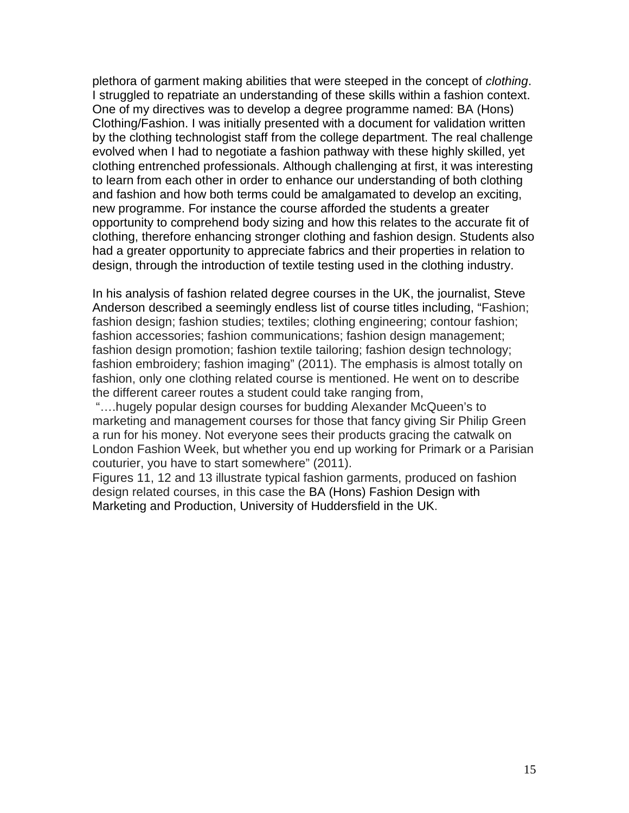plethora of garment making abilities that were steeped in the concept of *clothing*. I struggled to repatriate an understanding of these skills within a fashion context. One of my directives was to develop a degree programme named: BA (Hons) Clothing/Fashion. I was initially presented with a document for validation written by the clothing technologist staff from the college department. The real challenge evolved when I had to negotiate a fashion pathway with these highly skilled, yet clothing entrenched professionals. Although challenging at first, it was interesting to learn from each other in order to enhance our understanding of both clothing and fashion and how both terms could be amalgamated to develop an exciting, new programme. For instance the course afforded the students a greater opportunity to comprehend body sizing and how this relates to the accurate fit of clothing, therefore enhancing stronger clothing and fashion design. Students also had a greater opportunity to appreciate fabrics and their properties in relation to design, through the introduction of textile testing used in the clothing industry.

In his analysis of fashion related degree courses in the UK, the journalist, Steve Anderson described a seemingly endless list of course titles including, "Fashion; fashion design; fashion studies; textiles; clothing engineering; contour fashion; fashion accessories; fashion communications; fashion design management; fashion design promotion; fashion textile tailoring; fashion design technology; fashion embroidery; fashion imaging" (2011). The emphasis is almost totally on fashion, only one clothing related course is mentioned. He went on to describe the different career routes a student could take ranging from,

"….hugely popular design courses for budding Alexander McQueen's to marketing and management courses for those that fancy giving Sir Philip Green a run for his money. Not everyone sees their products gracing the catwalk on London Fashion Week, but whether you end up working for Primark or a Parisian couturier, you have to start somewhere" (2011).

Figures 11, 12 and 13 illustrate typical fashion garments, produced on fashion design related courses, in this case the BA (Hons) Fashion Design with Marketing and Production, University of Huddersfield in the UK.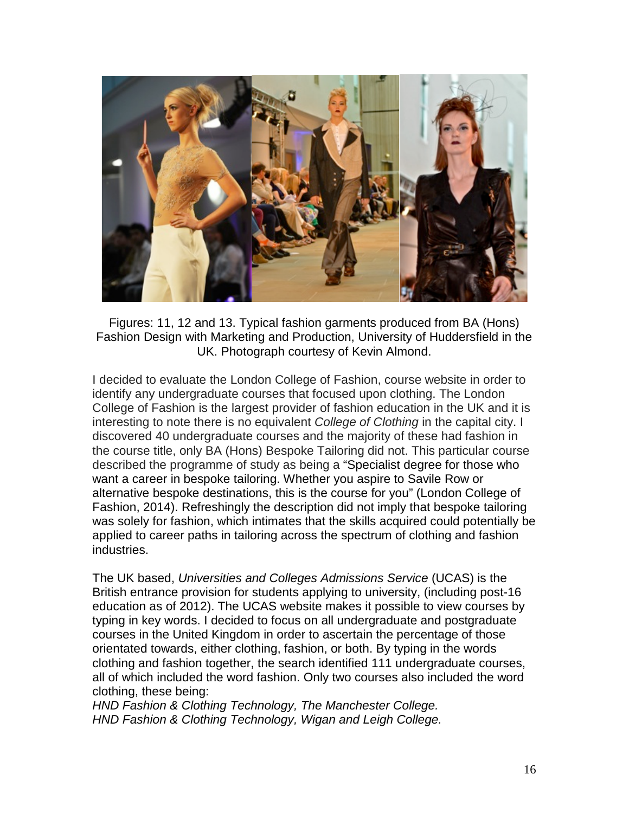

Figures: 11, 12 and 13. Typical fashion garments produced from BA (Hons) Fashion Design with Marketing and Production, University of Huddersfield in the UK. Photograph courtesy of Kevin Almond.

I decided to evaluate the London College of Fashion, course website in order to identify any undergraduate courses that focused upon clothing. The London College of Fashion is the largest provider of fashion education in the UK and it is interesting to note there is no equivalent *College of Clothing* in the capital city. I discovered 40 undergraduate courses and the majority of these had fashion in the course title, only BA (Hons) Bespoke Tailoring did not. This particular course described the programme of study as being a "Specialist degree for those who want a career in bespoke tailoring. Whether you aspire to Savile Row or alternative bespoke destinations, this is the course for you" (London College of Fashion, 2014). Refreshingly the description did not imply that bespoke tailoring was solely for fashion, which intimates that the skills acquired could potentially be applied to career paths in tailoring across the spectrum of clothing and fashion industries.

The UK based, *Universities and Colleges Admissions Service* (UCAS) is the British entrance provision for students applying to university, (including post-16 education as of 2012). The UCAS website makes it possible to view courses by typing in key words. I decided to focus on all undergraduate and postgraduate courses in the United Kingdom in order to ascertain the percentage of those orientated towards, either clothing, fashion, or both. By typing in the words clothing and fashion together, the search identified 111 undergraduate courses, all of which included the word fashion. Only two courses also included the word clothing, these being:

*HND [Fashion & Clothing Technology,](http://search.ucas.com/course/summary/126931/fashion-amp-clothing-technology?Feather=15&flt99=1310&Vac=1&AvailableIn=2014&SubjectCode=13&MaxResults=1000&page=4&ret=providers) The Manchester College. HND [Fashion & Clothing Technology, Wigan and Leigh College.](http://search.ucas.com/course/summary/115852/fashion-amp-clothing-technology?Feather=15&flt99=1310&Vac=1&AvailableIn=2014&SubjectCode=13&MaxResults=1000&page=6&ret=providers)*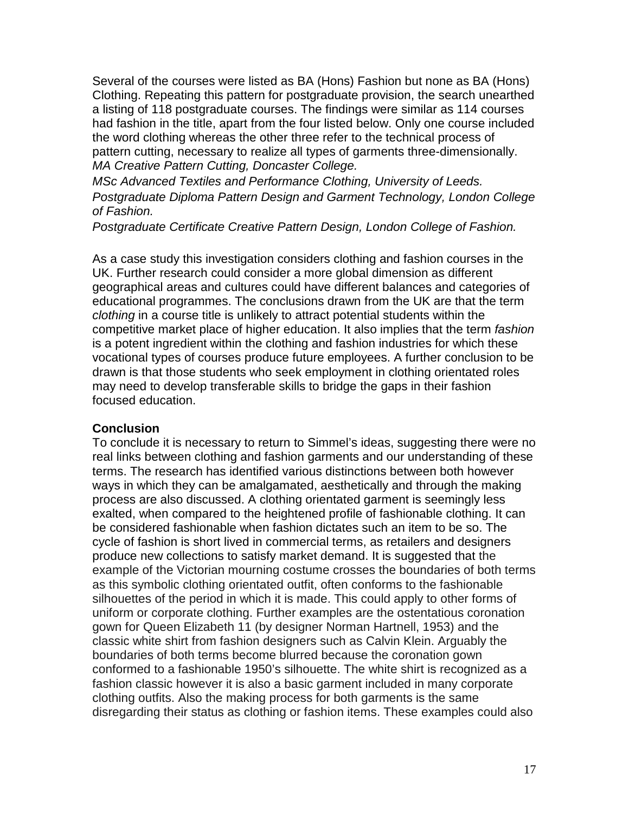Several of the courses were listed as BA (Hons) Fashion but none as BA (Hons) Clothing. Repeating this pattern for postgraduate provision, the search unearthed a listing of 118 postgraduate courses. The findings were similar as 114 courses had fashion in the title, apart from the four listed below. Only one course included the word clothing whereas the other three refer to the technical process of pattern cutting, necessary to realize all types of garments three-dimensionally. *[MA Creative Pattern Cutting,](http://ukpass.prospects.ac.uk/pgsearch/UKPASSCourse;jsessionid=6230965c141fm$0D$06Q?keyword=&type=Course&filter=subject%2F2023%2F2052&action=showdetails&offset=10&2waynocompress=1&id=41170) Doncaster College.*

*MSc [Advanced Textiles and Performance Clothing,](http://ukpass.prospects.ac.uk/pgsearch/UKPASSCourse;jsessionid=6230965c141fm$0D$06Q?keyword=&type=Course&filter=subject%2F2023%2F2052&action=showdetails&offset=100&2waynocompress=1&id=25031) University of Leeds. [Postgraduate Diploma Pattern Design and Garment Technology,](http://ukpass.prospects.ac.uk/pgsearch/UKPASSCourse;jsessionid=6230965c141fm$0D$06Q?keyword=&type=Course&filter=subject%2F2023%2F2052&action=showdetails&offset=30&2waynocompress=1&id=41505) London College of Fashion.*

*[Postgraduate Certificate Creative Pattern Design,](http://ukpass.prospects.ac.uk/pgsearch/UKPASSCourse;jsessionid=6230965c141fm$0D$06Q?keyword=&type=Course&filter=subject%2F2023%2F2052&action=showdetails&offset=30&2waynocompress=1&id=24118) London College of Fashion.*

As a case study this investigation considers clothing and fashion courses in the UK. Further research could consider a more global dimension as different geographical areas and cultures could have different balances and categories of educational programmes. The conclusions drawn from the UK are that the term *clothing* in a course title is unlikely to attract potential students within the competitive market place of higher education. It also implies that the term *fashion* is a potent ingredient within the clothing and fashion industries for which these vocational types of courses produce future employees. A further conclusion to be drawn is that those students who seek employment in clothing orientated roles may need to develop transferable skills to bridge the gaps in their fashion focused education.

#### **Conclusion**

To conclude it is necessary to return to Simmel's ideas, suggesting there were no real links between clothing and fashion garments and our understanding of these terms. The research has identified various distinctions between both however ways in which they can be amalgamated, aesthetically and through the making process are also discussed. A clothing orientated garment is seemingly less exalted, when compared to the heightened profile of fashionable clothing. It can be considered fashionable when fashion dictates such an item to be so. The cycle of fashion is short lived in commercial terms, as retailers and designers produce new collections to satisfy market demand. It is suggested that the example of the Victorian mourning costume crosses the boundaries of both terms as this symbolic clothing orientated outfit, often conforms to the fashionable silhouettes of the period in which it is made. This could apply to other forms of uniform or corporate clothing. Further examples are the ostentatious coronation gown for Queen Elizabeth 11 (by designer Norman Hartnell, 1953) and the classic white shirt from fashion designers such as Calvin Klein. Arguably the boundaries of both terms become blurred because the coronation gown conformed to a fashionable 1950's silhouette. The white shirt is recognized as a fashion classic however it is also a basic garment included in many corporate clothing outfits. Also the making process for both garments is the same disregarding their status as clothing or fashion items. These examples could also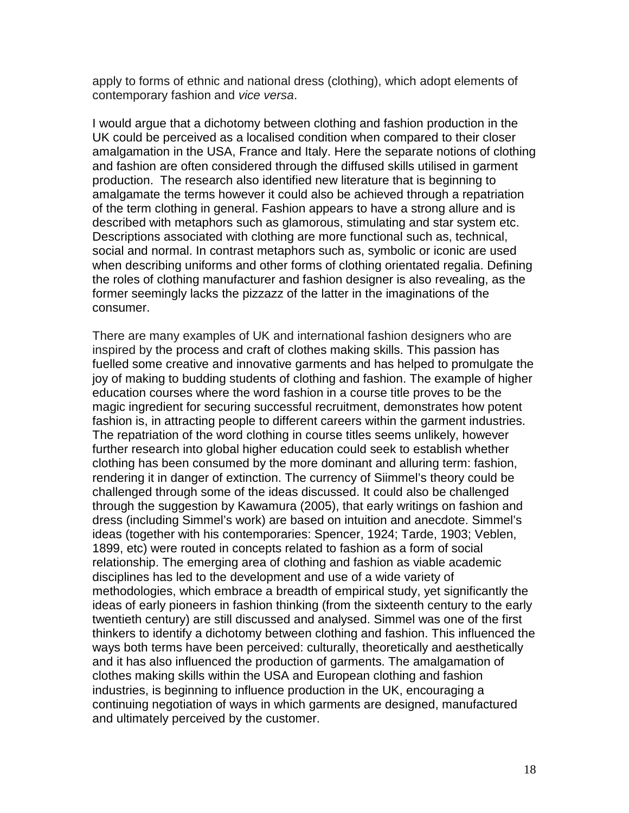apply to forms of ethnic and national dress (clothing), which adopt elements of contemporary fashion and *vice versa*.

I would argue that a dichotomy between clothing and fashion production in the UK could be perceived as a localised condition when compared to their closer amalgamation in the USA, France and Italy. Here the separate notions of clothing and fashion are often considered through the diffused skills utilised in garment production. The research also identified new literature that is beginning to amalgamate the terms however it could also be achieved through a repatriation of the term clothing in general. Fashion appears to have a strong allure and is described with metaphors such as glamorous, stimulating and star system etc. Descriptions associated with clothing are more functional such as, technical, social and normal. In contrast metaphors such as, symbolic or iconic are used when describing uniforms and other forms of clothing orientated regalia. Defining the roles of clothing manufacturer and fashion designer is also revealing, as the former seemingly lacks the pizzazz of the latter in the imaginations of the consumer.

There are many examples of UK and international fashion designers who are inspired by the process and craft of clothes making skills. This passion has fuelled some creative and innovative garments and has helped to promulgate the joy of making to budding students of clothing and fashion. The example of higher education courses where the word fashion in a course title proves to be the magic ingredient for securing successful recruitment, demonstrates how potent fashion is, in attracting people to different careers within the garment industries. The repatriation of the word clothing in course titles seems unlikely, however further research into global higher education could seek to establish whether clothing has been consumed by the more dominant and alluring term: fashion, rendering it in danger of extinction. The currency of Siimmel's theory could be challenged through some of the ideas discussed. It could also be challenged through the suggestion by Kawamura (2005), that early writings on fashion and dress (including Simmel's work) are based on intuition and anecdote. Simmel's ideas (together with his contemporaries: Spencer, 1924; Tarde, 1903; Veblen, 1899, etc) were routed in concepts related to fashion as a form of social relationship. The emerging area of clothing and fashion as viable academic disciplines has led to the development and use of a wide variety of methodologies, which embrace a breadth of empirical study, yet significantly the ideas of early pioneers in fashion thinking (from the sixteenth century to the early twentieth century) are still discussed and analysed. Simmel was one of the first thinkers to identify a dichotomy between clothing and fashion. This influenced the ways both terms have been perceived: culturally, theoretically and aesthetically and it has also influenced the production of garments. The amalgamation of clothes making skills within the USA and European clothing and fashion industries, is beginning to influence production in the UK, encouraging a continuing negotiation of ways in which garments are designed, manufactured and ultimately perceived by the customer.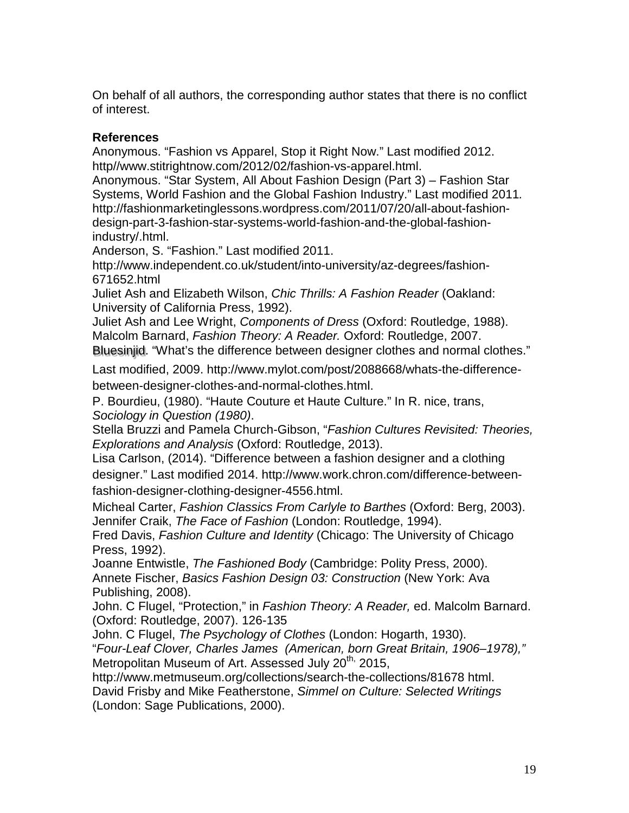On behalf of all authors, the corresponding author states that there is no conflict of interest.

# **References**

Anonymous. "Fashion vs Apparel, Stop it Right Now." Last modified 2012. http//www.stitrightnow.com/2012/02/fashion-vs-apparel.html.

Anonymous. "Star System, [All About Fashion Design \(Part 3\) –](http://fashionmarketinglessons.wordpress.com/2011/07/20/all-about-fashion-design-part-3-fashion-star-systems-world-fashion-and-the-global-fashion-industry/) Fashion Star [Systems, World Fashion and the Global](http://fashionmarketinglessons.wordpress.com/2011/07/20/all-about-fashion-design-part-3-fashion-star-systems-world-fashion-and-the-global-fashion-industry/) Fashion Industry." Last modified 2011*.*  [http://fashionmarketinglessons.wordpress.com/2011/07/20/all-about-fashion](http://fashionmarketinglessons.wordpress.com/2011/07/20/all-about-fashion-design-part-3-fashion-star-systems-world-fashion-and-the-global-fashion-industry/)[design-part-3-fashion-star-systems-world-fashion-and-the-global-fashion](http://fashionmarketinglessons.wordpress.com/2011/07/20/all-about-fashion-design-part-3-fashion-star-systems-world-fashion-and-the-global-fashion-industry/)[industry/.](http://fashionmarketinglessons.wordpress.com/2011/07/20/all-about-fashion-design-part-3-fashion-star-systems-world-fashion-and-the-global-fashion-industry/)html.

Anderson, S. "Fashion." Last modified 2011.

[http://www.independent.co.uk/student/into-university/az-degrees/fashion-](http://www.independent.co.uk/student/into-university/az-degrees/fashion-671652.html)[671652.html](http://www.independent.co.uk/student/into-university/az-degrees/fashion-671652.html)

Juliet Ash and Elizabeth Wilson, *Chic Thrills: A Fashion Reader* (Oakland: University of California Press, 1992).

Juliet Ash and Lee Wright, *Components of Dress* (Oxford: Routledge, 1988). Malcolm Barnard, *[Fashion Theory: A Reader.](http://www.amazon.co.uk/Fashion-Theory-Routledge-Student-Readers/dp/0415413400/ref=pd_rhf_se_s_cp_2_BRF6?ie=UTF8&refRID=1E4ZFY8X9HTMQKKXCVFS)* Oxford: Routledge, 2007. [Bluesinjid.](http://www.mylot.com/bluesinjid) "What's the difference between designer clothes and normal clothes."

Last modified, 2009. http://www.mylot.com/post/2088668/whats-the-differencebetween-designer-clothes-and-normal-clothes.html.

P. Bourdieu, (1980). "Haute Couture et Haute Culture." In R. nice, trans, *Sociology in Question (1980)*.

Stella Bruzzi and Pamela Church-Gibson, "*[Fashion Cultures Revisited: Theories,](http://www.amazon.co.uk/Fashion-Cultures-Revisited-Theories-Explorations/dp/0415680069/ref=sr_1_1?s=books&ie=UTF8&qid=1396526433&sr=1-1&keywords=fashion+theory+culture)  [Explorations and Analysis](http://www.amazon.co.uk/Fashion-Cultures-Revisited-Theories-Explorations/dp/0415680069/ref=sr_1_1?s=books&ie=UTF8&qid=1396526433&sr=1-1&keywords=fashion+theory+culture)* (Oxford: Routledge, 2013).

Lisa Carlson, (2014). "Difference between a fashion designer and a clothing designer." Last modified 2014. [http://www.work.chron.com/difference-between](http://www.work.chron.com/difference-between-fashion-designer-clothing-designer-4556.html)[fashion-designer-clothing-designer-4556.html.](http://www.work.chron.com/difference-between-fashion-designer-clothing-designer-4556.html)

Micheal Carter, *Fashion Classics From Carlyle to Barthes* (Oxford: Berg, 2003). Jennifer Craik, *The Face of Fashion* (London: Routledge, 1994).

Fred Davis, *Fashion Culture and Identity* (Chicago: The University of Chicago Press, 1992).

Joanne Entwistle, *The Fashioned Body* (Cambridge: Polity Press, 2000). Annete Fischer, *[Basics Fashion Design 03: Construction](http://www.amazon.co.uk/Basics-Fashion-Design-03-Construction/dp/2940373752/ref=sr_1_1?s=books&ie=UTF8&qid=1398191370&sr=1-1&keywords=annette+fischer)* (New York: Ava Publishing, 2008).

John. C Flugel, "Protection," in *[Fashion Theory: A Reader,](http://www.amazon.co.uk/Fashion-Theory-Routledge-Student-Readers/dp/0415413400/ref=pd_rhf_se_s_cp_2_BRF6?ie=UTF8&refRID=1E4ZFY8X9HTMQKKXCVFS)* ed. Malcolm Barnard. (Oxford: Routledge, 2007). 126-135

John. C Flugel, *The Psychology of Clothes* (London: Hogarth, 1930).

"*Four-Leaf Clover, Charles James (American, born Great Britain, 1906–1978),"*  Metropolitan Museum of Art. Assessed July 20<sup>th,</sup> 2015,

[http://www.metmuseum.org/collections/search-the-collections/81678 h](http://www.metmuseum.org/collections/search-the-collections/81678%20viewed%2008/10/13)tml. David Frisby and Mike Featherstone, *Simmel on Culture: Selected Writings* (London: Sage Publications, 2000).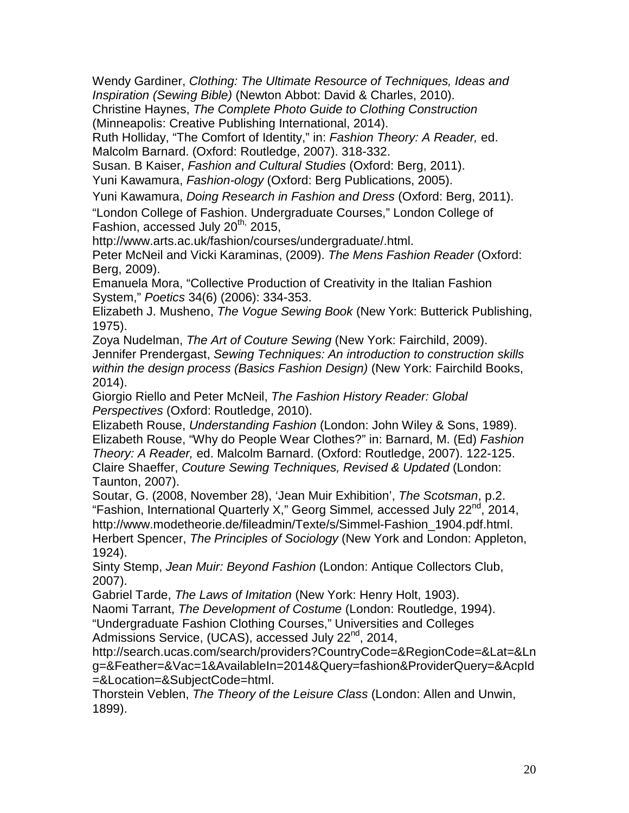Wendy Gardiner, *Clothing: The Ultimate Resource of Techniques, Ideas and Inspiration (Sewing Bible)* [\(Newton Abbot:](http://en.wikipedia.org/wiki/Newton_Abbot) David & Charles, 2010).

Christine Haynes, *The Complete Photo Guide to Clothing Construction* (Minneapolis: Creative Publishing International, 2014).

Ruth Holliday, "The Comfort of Identity," in: *[Fashion Theory: A Reader,](http://www.amazon.co.uk/Fashion-Theory-Routledge-Student-Readers/dp/0415413400/ref=pd_rhf_se_s_cp_2_BRF6?ie=UTF8&refRID=1E4ZFY8X9HTMQKKXCVFS)* ed. Malcolm Barnard. (Oxford: Routledge, 2007). 318-332.

Susan. B Kaiser, *[Fashion and Cultural Studies](http://www.amazon.co.uk/Fashion-Cultural-Studies-Susan-Kaiser/dp/1847885640/ref=sr_1_5?s=books&ie=UTF8&qid=1396526433&sr=1-5&keywords=fashion+theory+culture)* (Oxford: Berg, 2011).

Yuni Kawamura, *Fashion-ology* (Oxford: Berg Publications, 2005).

Yuni Kawamura, *Doing Research in Fashion and Dress* (Oxford: Berg, 2011).

"London College of Fashion. Undergraduate Courses," London College of Fashion, accessed July 20<sup>th,</sup> 2015,

[http://www.arts.ac.uk/fashion/courses/undergraduate/.html.](http://www.arts.ac.uk/fashion/courses/undergraduate/.html)

Peter McNeil and Vicki Karaminas, (2009). *The Mens Fashion Reader* (Oxford: Berg, 2009).

Emanuela Mora, "Collective Production of Creativity in the Italian Fashion System," *Poetics* 34(6) (2006): 334-353.

Elizabeth J. Musheno, *The Vogue Sewing Book* (New York: Butterick Publishing, 1975).

Zoya Nudelman, *[The Art of Couture Sewing](http://www.amazon.co.uk/Art-Couture-Sewing-Zoya-Nudelman/dp/1563675390/ref=sr_1_16?s=books&ie=UTF8&qid=1398192014&sr=1-16&keywords=couture+dressmaking)* (New York: Fairchild, 2009). Jennifer Prendergast, *[Sewing Techniques: An introduction to construction skills](http://www.amazon.co.uk/Sewing-Techniques-introduction-construction-process/dp/2940411913/ref=sr_1_21?s=books&ie=UTF8&qid=1398190505&sr=1-21&keywords=sewing+fashion)  [within the design process \(Basics Fashion Design\)](http://www.amazon.co.uk/Sewing-Techniques-introduction-construction-process/dp/2940411913/ref=sr_1_21?s=books&ie=UTF8&qid=1398190505&sr=1-21&keywords=sewing+fashion)* (New York: Fairchild Books, 2014).

Giorgio Riello and Peter McNeil, *The Fashion History Reader: Global Perspectives* (Oxford: Routledge, 2010).

Elizabeth Rouse, *[Understanding Fashion](http://www.amazon.co.uk/Understanding-Fashion-E-Rouse/dp/0632018917/ref=sr_1_1?s=books&ie=UTF8&qid=1396529312&sr=1-1&keywords=elizabeth+rouse)* (London: John Wiley & Sons, 1989). Elizabeth Rouse, "Why do People Wear Clothes?" in: Barnard, M. (Ed) *[Fashion](http://www.amazon.co.uk/Fashion-Theory-Routledge-Student-Readers/dp/0415413400/ref=pd_rhf_se_s_cp_2_BRF6?ie=UTF8&refRID=1E4ZFY8X9HTMQKKXCVFS)  [Theory: A Reader,](http://www.amazon.co.uk/Fashion-Theory-Routledge-Student-Readers/dp/0415413400/ref=pd_rhf_se_s_cp_2_BRF6?ie=UTF8&refRID=1E4ZFY8X9HTMQKKXCVFS)* ed. Malcolm Barnard. (Oxford: Routledge, 2007). 122-125. Claire Shaeffer, *[Couture Sewing Techniques, Revised & Updated](http://www.amazon.co.uk/Couture-Sewing-Techniques-Revised-Updated/dp/1600853358/ref=sr_1_2?s=books&ie=UTF8&qid=1398192014&sr=1-2&keywords=couture+dressmaking)* (London: Taunton, 2007).

Soutar, G. (2008, November 28), 'Jean Muir Exhibition', *The Scotsman*, p.2. "Fashion, International Quarterly X," Georg Simmel*,* accessed July 22nd, 2014, [http://www.modetheorie.de/fileadmin/Texte/s/Simmel-Fashion\\_1904.pdf.h](http://www.modetheorie.de/fileadmin/Texte/s/Simmel-Fashion_1904.pdf.)tml. Herbert Spencer, *The Principles of Sociology* (New York and London: Appleton, 1924).

Sinty Stemp, *Jean Muir: Beyond Fashion* (London: Antique Collectors Club, 2007).

Gabriel Tarde, *The Laws of Imitation* (New York: Henry Holt, 1903).

Naomi Tarrant, *The Development of Costume* (London: Routledge, 1994).

"Undergraduate Fashion Clothing Courses," Universities and Colleges

Admissions Service, (UCAS), accessed July 22<sup>nd</sup>, 2014,

[http://search.ucas.com/search/providers?CountryCode=&RegionCode=&Lat=&Ln](http://search.ucas.com/search/providers?CountryCode=&RegionCode=&Lat=&Lng=&Feather=&Vac=1&AvailableIn=2014&Query=fashion&ProviderQuery=&AcpId=&Location=&SubjectCode=) [g=&Feather=&Vac=1&AvailableIn=2014&Query=fashion&ProviderQuery=&AcpId](http://search.ucas.com/search/providers?CountryCode=&RegionCode=&Lat=&Lng=&Feather=&Vac=1&AvailableIn=2014&Query=fashion&ProviderQuery=&AcpId=&Location=&SubjectCode=) [=&Location=&SubjectCode=h](http://search.ucas.com/search/providers?CountryCode=&RegionCode=&Lat=&Lng=&Feather=&Vac=1&AvailableIn=2014&Query=fashion&ProviderQuery=&AcpId=&Location=&SubjectCode=)tml.

Thorstein Veblen, *The Theory of the Leisure Class* (London: Allen and Unwin, 1899).